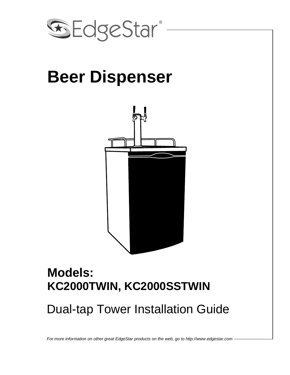

# **Beer Dispenser**



### **Models: KC2000TWIN, KC2000SSTWIN**

## Dual-tap Tower Installation Guide

*For more information on other great EdgeStar products on the web, go to http://www.edgestar.com*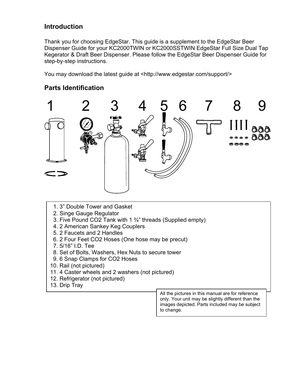#### **Introduction**

Thank you for choosing EdgeStar. This guide is a supplement to the EdgeStar Beer Dispenser Guide for your KC2000TWIN or KC2000SSTWIN EdgeStar Full Size Dual Tap Kegerator & Draft Beer Dispenser. Please follow the EdgeStar Beer Dispenser Guide for step-by-step instructions.

You may download the latest guide at <http://www.edgestar.com/support/>

#### **Parts Identification**



- 1. 3" Double Tower and Gasket
- 2. Singe Gauge Regulator
- 3. Five Pound CO2 Tank with 1 ¾" threads (Supplied empty)
- 4. 2 American Sankey Keg Couplers
- 5. 2 Faucets and 2 Handles
- 6. 2 Four Feet CO2 Hoses (One hose may be precut)
- 7. 5/16" I.D. Tee
- 8. Set of Bolts, Washers, Hex Nuts to secure tower
- 9. 6 Snap Clamps for CO2 Hoses
- 10. Rail (not pictured)
- 11. 4 Caster wheels and 2 washers (not pictured)
- 12. Refrigerator (not pictured)
- 13. Drip Tray

All the pictures in this manual are for reference only. Your unit may be slightly different than the images depicted. Parts included may be subject to change.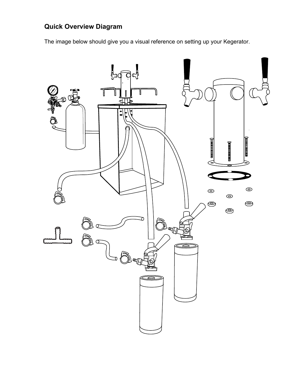### **Quick Overview Diagram**

The image below should give you a visual reference on setting up your Kegerator.